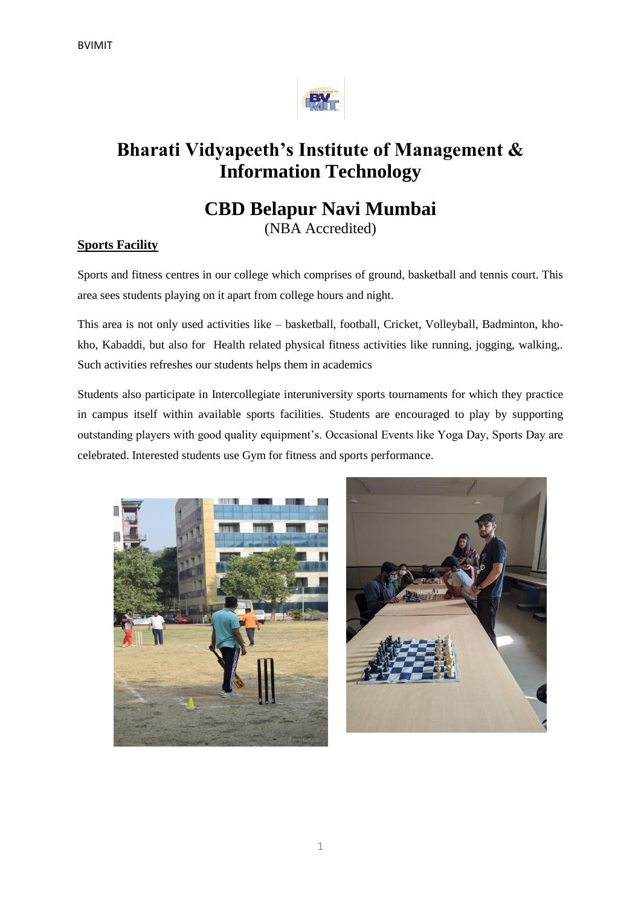

## **Bharati Vidyapeeth's Institute of Management & Information Technology**

## **CBD Belapur Navi Mumbai**

(NBA Accredited)

## **Sports Facility**

Sports and fitness centres in our college which comprises of ground, basketball and tennis court. This area sees students playing on it apart from college hours and night.

This area is not only used activities like – basketball, football, Cricket, Volleyball, Badminton, khokho, Kabaddi, but also for Health related physical fitness activities like running, jogging, walking,. Such activities refreshes our students helps them in academics

Students also participate in Intercollegiate interuniversity sports tournaments for which they practice in campus itself within available sports facilities. Students are encouraged to play by supporting outstanding players with good quality equipment's. Occasional Events like Yoga Day, Sports Day are celebrated. Interested students use Gym for fitness and sports performance.